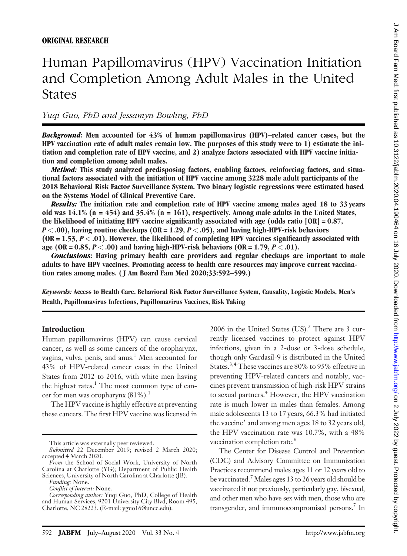# Human Papillomavirus (HPV) Vaccination Initiation and Completion Among Adult Males in the United States

Yuqi Guo, PhD and Jessamyn Bowling, PhD

Background: Men accounted for 43% of human papillomavirus (HPV)–related cancer cases, but the HPV vaccination rate of adult males remain low. The purposes of this study were to 1) estimate the initiation and completion rate of HPV vaccine, and 2) analyze factors associated with HPV vaccine initiation and completion among adult males.

Method: This study analyzed predisposing factors, enabling factors, reinforcing factors, and situational factors associated with the initiation of HPV vaccine among 3228 male adult participants of the 2018 Behavioral Risk Factor Surveillance System. Two binary logistic regressions were estimated based on the Systems Model of Clinical Preventive Care.

Results: The initiation rate and completion rate of HPV vaccine among males aged 18 to 33 years old was  $14.1\%$  (n =  $454$ ) and  $35.4\%$  (n = 161), respectively. Among male adults in the United States, the likelihood of initiating HPV vaccine significantly associated with age (odds ratio  $[OR] = 0.87$ ,  $P < .00$ ), having routine checkups (OR = 1.29,  $P < .05$ ), and having high-HPV-risk behaviors  $(OR = 1.53, P < .01)$ . However, the likelihood of completing HPV vaccines significantly associated with age (OR =  $0.85, P < .00$ ) and having high-HPV-risk behaviors (OR = 1.79,  $P < .01$ ).

Conclusions: Having primary health care providers and regular checkups are important to male adults to have HPV vaccines. Promoting access to health care resources may improve current vaccination rates among males. ( J Am Board Fam Med 2020;33:592–599.)

Keywords: Access to Health Care, Behavioral Risk Factor Surveillance System, Causality, Logistic Models, Men's Health, Papillomavirus Infections, Papillomavirus Vaccines, Risk Taking

### Introduction

Human papillomavirus (HPV) can cause cervical cancer, as well as some cancers of the oropharynx, vagina, vulva, penis, and anus.<sup>1</sup> Men accounted for 43% of HPV-related cancer cases in the United States from 2012 to 2016, with white men having the highest rates.<sup>1</sup> The most common type of cancer for men was oropharynx  $(81\%)$ .<sup>1</sup>

The HPV vaccine is highly effective at preventing these cancers. The first HPV vaccine was licensed in

2006 in the United States  $(US)^2$ . There are 3 currently licensed vaccines to protect against HPV infections, given in a 2-dose or 3-dose schedule, though only Gardasil-9 is distributed in the United States.<sup>3,4</sup> These vaccines are 80% to 95% effective in preventing HPV-related cancers and notably, vaccines prevent transmission of high-risk HPV strains to sexual partners.<sup>4</sup> However, the HPV vaccination rate is much lower in males than females. Among male adolescents 13 to 17 years, 66.3% had initiated the vaccine<sup>5</sup> and among men ages 18 to 32 years old, the HPV vaccination rate was 10.7%, with a 48% vaccination completion rate.<sup>6</sup>

The Center for Disease Control and Prevention (CDC) and Advisory Committee on Immunization Practices recommend males ages 11 or 12 years old to be vaccinated.<sup>7</sup> Males ages 13 to 26 years old should be vaccinated if not previously, particularly gay, bisexual, and other men who have sex with men, those who are transgender, and immunocompromised persons.<sup>7</sup> In

This article was externally peer reviewed.

Submitted 22 December 2019; revised 2 March 2020; accepted 4 March 2020.

From the School of Social Work, University of North Carolina at Charlotte (YG); Department of Public Health Sciences, University of North Carolina at Charlotte (JB).

Funding: None.

Conflict of interest: None.

Corresponding author: Yuqi Guo, PhD, College of Health and Human Services, 9201 University City Blvd, Room 495, Charlotte, NC 28223. (E-mail: [yguo16@uncc.edu\)](mailto:yguo16@uncc.edu).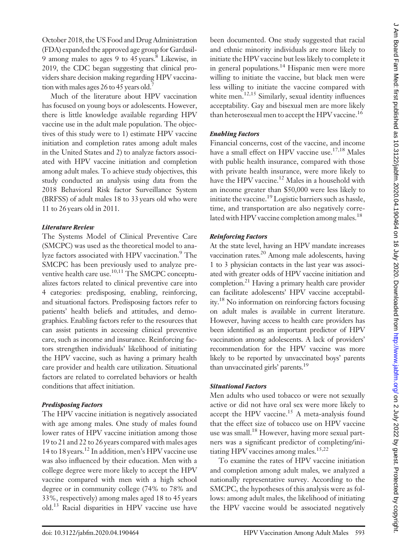October 2018, the US Food and Drug Administration (FDA) expanded the approved age group for Gardasil-9 among males to ages 9 to 45 years.<sup>8</sup> Likewise, in 2019, the CDC began suggesting that clinical providers share decision making regarding HPV vaccination with males ages 26 to 45 years old.

Much of the literature about HPV vaccination has focused on young boys or adolescents. However, there is little knowledge available regarding HPV vaccine use in the adult male population. The objectives of this study were to 1) estimate HPV vaccine initiation and completion rates among adult males in the United States and 2) to analyze factors associated with HPV vaccine initiation and completion among adult males. To achieve study objectives, this study conducted an analysis using data from the 2018 Behavioral Risk factor Surveillance System (BRFSS) of adult males 18 to 33 years old who were 11 to 26 years old in 2011.

### Literature Review

The Systems Model of Clinical Preventive Care (SMCPC) was used as the theoretical model to analyze factors associated with HPV vaccination.<sup>9</sup> The SMCPC has been previously used to analyze preventive health care use.10,11 The SMCPC conceptualizes factors related to clinical preventive care into 4 categories: predisposing, enabling, reinforcing, and situational factors. Predisposing factors refer to patients' health beliefs and attitudes, and demographics. Enabling factors refer to the resources that can assist patients in accessing clinical preventive care, such as income and insurance. Reinforcing factors strengthen individuals' likelihood of initiating the HPV vaccine, such as having a primary health care provider and health care utilization. Situational factors are related to correlated behaviors or health conditions that affect initiation.

### Predisposing Factors

The HPV vaccine initiation is negatively associated with age among males. One study of males found lower rates of HPV vaccine initiation among those 19 to 21 and 22 to 26 years compared with males ages 14 to 18 years.12 In addition, men's HPV vaccine use was also influenced by their education. Men with a college degree were more likely to accept the HPV vaccine compared with men with a high school degree or in community college (74% to 78% and 33%, respectively) among males aged 18 to 45 years old.13 Racial disparities in HPV vaccine use have

been documented. One study suggested that racial and ethnic minority individuals are more likely to initiate the HPV vaccine but less likely to complete it in general populations.<sup>14</sup> Hispanic men were more willing to initiate the vaccine, but black men were less willing to initiate the vaccine compared with white men.<sup>12,15</sup> Similarly, sexual identity influences acceptability. Gay and bisexual men are more likely than heterosexual men to accept the HPV vaccine.<sup>16</sup>

### Enabling Factors

Financial concerns, cost of the vaccine, and income have a small effect on HPV vaccine use.<sup>17,18</sup> Males with public health insurance, compared with those with private health insurance, were more likely to have the HPV vaccine.<sup>12</sup> Males in a household with an income greater than \$50,000 were less likely to initiate the vaccine.<sup>19</sup> Logistic barriers such as hassle, time, and transportation are also negatively correlated with HPV vaccine completion among males.<sup>18</sup>

### Reinforcing Factors

At the state level, having an HPV mandate increases vaccination rates.<sup>20</sup> Among male adolescents, having 1 to 3 physician contacts in the last year was associated with greater odds of HPV vaccine initiation and completion.<sup>21</sup> Having a primary health care provider can facilitate adolescents' HPV vaccine acceptability.18 No information on reinforcing factors focusing on adult males is available in current literature. However, having access to health care providers has been identified as an important predictor of HPV vaccination among adolescents. A lack of providers' recommendation for the HPV vaccine was more likely to be reported by unvaccinated boys' parents than unvaccinated girls' parents.<sup>19</sup>

### Situational Factors

Men adults who used tobacco or were not sexually active or did not have oral sex were more likely to accept the HPV vaccine.<sup>15</sup> A meta-analysis found that the effect size of tobacco use on HPV vaccine use was small.<sup>18</sup> However, having more sexual partners was a significant predictor of completing/initiating HPV vaccines among males. $15,22$ 

To examine the rates of HPV vaccine initiation and completion among adult males, we analyzed a nationally representative survey. According to the SMCPC, the hypotheses of this analysis were as follows: among adult males, the likelihood of initiating the HPV vaccine would be associated negatively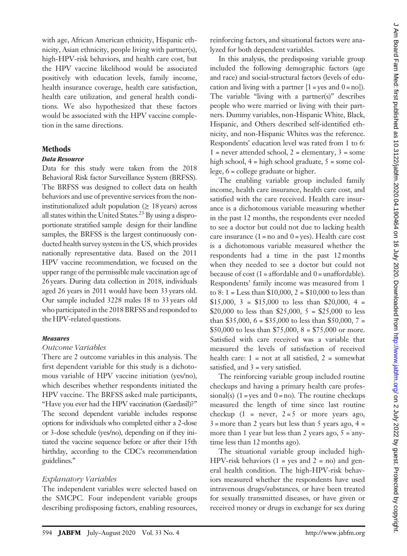with age, African American ethnicity, Hispanic ethnicity, Asian ethnicity, people living with partner(s), high-HPV-risk behaviors, and health care cost, but the HPV vaccine likelihood would be associated positively with education levels, family income, health insurance coverage, health care satisfaction, health care utilization, and general health conditions. We also hypothesized that these factors would be associated with the HPV vaccine completion in the same directions.

### **Methods**

### Data Resource

Data for this study were taken from the 2018 Behavioral Risk factor Surveillance System (BRFSS). The BRFSS was designed to collect data on health behaviors and use of preventive services from the noninstitutionalized adult population ( $\geq 18$  years) across all states within the United States.<sup>23</sup> By using a disproportionate stratified sample design for their landline samples, the BRFSS is the largest continuously conducted health survey system in the US, which provides nationally representative data. Based on the 2011 HPV vaccine recommendation, we focused on the upper range of the permissible male vaccination age of 26 years. During data collection in 2018, individuals aged 26 years in 2011 would have been 33 years old. Our sample included 3228 males 18 to 33 years old who participated in the 2018 BRFSS and responded to the HPV-related questions.

### Measures

### Outcome Variables

There are 2 outcome variables in this analysis. The first dependent variable for this study is a dichotomous variable of HPV vaccine initiation (yes/no), which describes whether respondents initiated the HPV vaccine. The BRFSS asked male participants, "Have you ever had the HPV vaccination (Gardasil)?" The second dependent variable includes response options for individuals who completed either a 2-dose or 3-dose schedule (yes/no), depending on if they initiated the vaccine sequence before or after their 15th birthday, according to the CDC's recommendation guidelines."

### Explanatory Variables

The independent variables were selected based on the SMCPC. Four independent variable groups describing predisposing factors, enabling resources, reinforcing factors, and situational factors were analyzed for both dependent variables.

In this analysis, the predisposing variable group included the following demographic factors (age and race) and social-structural factors (levels of education and living with a partner  $[1 = yes$  and  $0 = no]$ ). The variable "living with a partner(s)" describes people who were married or living with their partners. Dummy variables, non-Hispanic White, Black, Hispanic, and Others described self-identified ethnicity, and non-Hispanic Whites was the reference. Respondents' education level was rated from 1 to 6:  $1 =$  never attended school,  $2 =$  elementary,  $3 =$  some high school, 4 = high school graduate, 5 = some college, 6 = college graduate or higher.

The enabling variable group included family income, health care insurance, health care cost, and satisfied with the care received. Health care insurance is a dichotomous variable measuring whether in the past 12 months, the respondents ever needed to see a doctor but could not due to lacking health care insurance  $(1 = no$  and  $0 = yes)$ . Health care cost is a dichotomous variable measured whether the respondents had a time in the past 12 months when they needed to see a doctor but could not because of cost  $(1 = \text{affordable and } 0 = \text{unaffordable}).$ Respondents' family income was measured from 1 to  $8: 1 =$  Less than \$10,000,  $2 = $10,000$  to less than \$15,000,  $3 = $15,000$  to less than \$20,000,  $4 =$ \$20,000 to less than \$25,000,  $5 = $25,000$  to less than \$35,000,  $6 = $35,000$  to less than \$50,000,  $7 =$ \$50,000 to less than \$75,000,  $8 = $75,000$  or more. Satisfied with care received was a variable that measured the levels of satisfaction of received health care:  $1 = not at all satisfied, 2 = somewhat$ satisfied, and 3 = very satisfied.

The reinforcing variable group included routine checkups and having a primary health care professional(s)  $(1 = yes \text{ and } 0 = no)$ . The routine checkups measured the length of time since last routine checkup  $(1 = never, 2 = 5 or more years ago,$  $3 =$ more than 2 years but less than 5 years ago,  $4 =$ more than 1 year but less than 2 years ago,  $5 = any$ time less than 12 months ago).

The situational variable group included high-HPV-risk behaviors  $(1 = yes \text{ and } 2 = no)$  and general health condition. The high-HPV-risk behaviors measured whether the respondents have used intravenous drugs/substances, or have been treated for sexually transmitted diseases, or have given or received money or drugs in exchange for sex during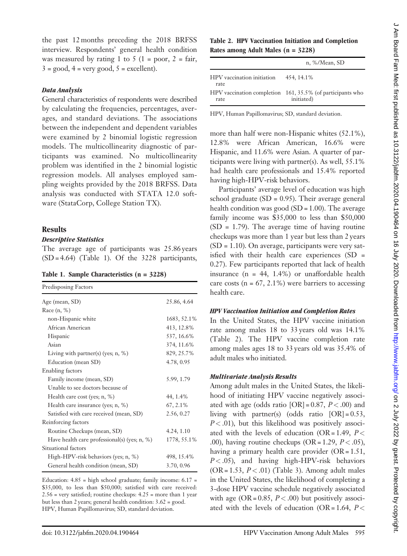the past 12 months preceding the 2018 BRFSS interview. Respondents' general health condition was measured by rating 1 to 5 (1 = poor, 2 = fair,  $3 = \text{good}, 4 = \text{very good}, 5 = \text{excellent}.$ rate

## Data Analysis

General characteristics of respondents were described by calculating the frequencies, percentages, averages, and standard deviations. The associations between the independent and dependent variables were examined by 2 binomial logistic regression models. The multicollinearity diagnostic of participants was examined. No multicollinearity problem was identified in the 2 binomial logistic regression models. All analyses employed sampling weights provided by the 2018 BRFSS. Data analysis was conducted with STATA 12.0 software (StataCorp, College Station TX).

# Results

### Descriptive Statistics

The average age of participants was 25.86 years (SD = 4.64) (Table 1). Of the 3228 participants,

Table 1. Sample Characteristics (n = 3228)

| <b>Predisposing Factors</b>                     |             |  |
|-------------------------------------------------|-------------|--|
| Age (mean, SD)                                  | 25.86, 4.64 |  |
| Race $(n, %)$                                   |             |  |
| non-Hispanic white                              | 1683, 52.1% |  |
| African American                                | 413, 12.8%  |  |
| Hispanic                                        | 537, 16.6%  |  |
| Asian                                           | 374, 11.6%  |  |
| Living with partner(s) (yes; $n$ , %)           | 829, 25.7%  |  |
| Education (mean SD)                             | 4.78, 0.95  |  |
| <b>Enabling factors</b>                         |             |  |
| Family income (mean, SD)                        | 5.99, 1.79  |  |
| Unable to see doctors because of                |             |  |
| Health care cost (yes; $n$ , %)                 | 44, 1.4%    |  |
| Health care insurance (yes; $n$ , %)            | 67, 2.1%    |  |
| Satisfied with care received (mean, SD)         | 2.56, 0.27  |  |
| Reinforcing factors                             |             |  |
| Routine Checkups (mean, SD)                     | 4.24, 1.10  |  |
| Have health care professional(s) (yes; $n$ , %) | 1778, 55.1% |  |
| Situational factors                             |             |  |
| High-HPV-risk behaviors (yes; n, %)             | 498, 15.4%  |  |
| General health condition (mean, SD)             | 3.70, 0.96  |  |

Education:  $4.85$  = high school graduate; family income:  $6.17$  = \$35,000, to less than \$50,000; satisfied with care received:  $2.56$  = very satisfied; routine checkups:  $4.25$  = more than 1 year but less than 2 years; general health condition: 3.62 = good. HPV, Human Papillomavirus; SD, standard deviation.

Table 2. HPV Vaccination Initiation and Completion Rates among Adult Males (n = 3228)

|                                    | n, %/Mean, SD                                                            |  |  |
|------------------------------------|--------------------------------------------------------------------------|--|--|
| HPV vaccination initiation<br>rate | 454, 14.1%                                                               |  |  |
| rate                               | HPV vaccination completion 161, 35.5% (of participants who<br>initiated) |  |  |

HPV, Human Papillomavirus; SD, standard deviation.

more than half were non-Hispanic whites (52.1%), 12.8% were African American, 16.6% were Hispanic, and 11.6% were Asian. A quarter of participants were living with partner(s). As well, 55.1% had health care professionals and 15.4% reported having high-HPV-risk behaviors.

Participants' average level of education was high school graduate (SD = 0.95). Their average general health condition was good  $(SD = 1.00)$ . The average family income was \$35,000 to less than \$50,000  $(SD = 1.79)$ . The average time of having routine checkups was more than 1 year but less than 2 years  $(SD = 1.10)$ . On average, participants were very satisfied with their health care experiences  $(SD =$ 0.27). Few participants reported that lack of health insurance  $(n = 44, 1.4\%)$  or unaffordable health care costs ( $n = 67, 2.1\%$ ) were barriers to accessing health care.

# HPV Vaccination Initiation and Completion Rates

In the United States, the HPV vaccine initiation rate among males 18 to 33 years old was 14.1% (Table 2). The HPV vaccine completion rate among males ages 18 to 33 years old was 35.4% of adult males who initiated.

# Multivariate Analysis Results

Among adult males in the United States, the likelihood of initiating HPV vaccine negatively associated with age (odds ratio  $[OR] = 0.87, P < .00$ ) and living with partner(s) (odds ratio  $[OR] = 0.53$ ,  $P < .01$ ), but this likelihood was positively associated with the levels of education (OR = 1.49,  $P$  < .00), having routine checkups (OR = 1.29,  $P < .05$ ), having a primary health care provider  $(OR = 1.51,$  $P < .05$ ), and having high-HPV-risk behaviors  $(OR = 1.53, P < .01)$  (Table 3). Among adult males in the United States, the likelihood of completing a 3-dose HPV vaccine schedule negatively associated with age (OR =  $0.85$ ,  $P < .00$ ) but positively associated with the levels of education (OR = 1.64,  $P$  <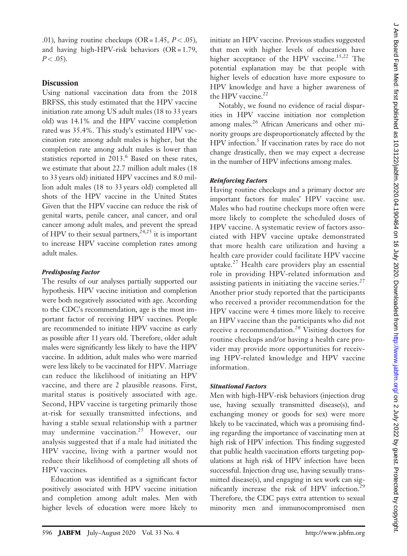.01), having routine checkups (OR = 1.45,  $P < .05$ ), and having high-HPV-risk behaviors (OR = 1.79,  $P < .05$ ).

### **Discussion**

Using national vaccination data from the 2018 BRFSS, this study estimated that the HPV vaccine initiation rate among US adult males (18 to 33 years old) was 14.1% and the HPV vaccine completion rated was 35.4%. This study's estimated HPV vaccination rate among adult males is higher, but the completion rate among adult males is lower than statistics reported in  $2013<sup>6</sup>$  Based on these rates, we estimate that about 22.7 million adult males (18 to 33 years old) initiated HPV vaccines and 8.0 million adult males (18 to 33 years old) completed all shots of the HPV vaccine in the United States Given that the HPV vaccine can reduce the risk of genital warts, penile cancer, anal cancer, and oral cancer among adult males, and prevent the spread of HPV to their sexual partners,  $2^{4,25}$  it is important to increase HPV vaccine completion rates among adult males.

### Predisposing Factor

The results of our analyses partially supported our hypothesis. HPV vaccine initiation and completion were both negatively associated with age. According to the CDC's recommendation, age is the most important factor of receiving HPV vaccines. People are recommended to initiate HPV vaccine as early as possible after 11 years old. Therefore, older adult males were significantly less likely to have the HPV vaccine. In addition, adult males who were married were less likely to be vaccinated for HPV. Marriage can reduce the likelihood of initiating an HPV vaccine, and there are 2 plausible reasons. First, marital status is positively associated with age. Second, HPV vaccine is targeting primarily those at-risk for sexually transmitted infections, and having a stable sexual relationship with a partner may undermine vaccination.<sup>25</sup> However, our analysis suggested that if a male had initiated the HPV vaccine, living with a partner would not reduce their likelihood of completing all shots of HPV vaccines.

Education was identified as a significant factor positively associated with HPV vaccine initiation and completion among adult males. Men with higher levels of education were more likely to initiate an HPV vaccine. Previous studies suggested that men with higher levels of education have higher acceptance of the HPV vaccine.<sup>15,22</sup> The potential explanation may be that people with higher levels of education have more exposure to HPV knowledge and have a higher awareness of the HPV vaccine.<sup>22</sup>

Notably, we found no evidence of racial disparities in HPV vaccine initiation nor completion among males.<sup>26</sup> African Americans and other minority groups are disproportionately affected by the HPV infection.<sup>5</sup> If vaccination rates by race do not change drastically, then we may expect a decrease in the number of HPV infections among males.

### Reinforcing Factors

Having routine checkups and a primary doctor are important factors for males' HPV vaccine use. Males who had routine checkups more often were more likely to complete the scheduled doses of HPV vaccine. A systematic review of factors associated with HPV vaccine uptake demonstrated that more health care utilization and having a health care provider could facilitate HPV vaccine uptake.<sup>27</sup> Health care providers play an essential role in providing HPV-related information and assisting patients in initiating the vaccine series. $27$ Another prior study reported that the participants who received a provider recommendation for the HPV vaccine were 4 times more likely to receive an HPV vaccine than the participants who did not receive a recommendation.28 Visiting doctors for routine checkups and/or having a health care provider may provide more opportunities for receiving HPV-related knowledge and HPV vaccine information.

#### Situational Factors

Men with high-HPV-risk behaviors (injection drug use, having sexually transmitted disease(s), and exchanging money or goods for sex) were more likely to be vaccinated, which was a promising finding regarding the importance of vaccinating men at high risk of HPV infection. This finding suggested that public health vaccination efforts targeting populations at high risk of HPV infection have been successful. Injection drug use, having sexually transmitted disease(s), and engaging in sex work can significantly increase the risk of  $HPV$  infection.<sup>2</sup> Therefore, the CDC pays extra attention to sexual minority men and immunocompromised men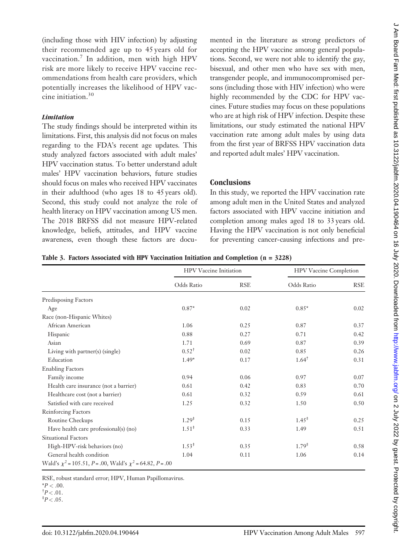(including those with HIV infection) by adjusting their recommended age up to 45 years old for vaccination. $\frac{7}{1}$  In addition, men with high HPV risk are more likely to receive HPV vaccine recommendations from health care providers, which potentially increases the likelihood of HPV vaccine initiation.<sup>30</sup>

### Limitation

The study findings should be interpreted within its limitations. First, this analysis did not focus on males regarding to the FDA's recent age updates. This study analyzed factors associated with adult males' HPV vaccination status. To better understand adult males' HPV vaccination behaviors, future studies should focus on males who received HPV vaccinates in their adulthood (who ages 18 to 45 years old). Second, this study could not analyze the role of health literacy on HPV vaccination among US men. The 2018 BRFSS did not measure HPV-related knowledge, beliefs, attitudes, and HPV vaccine awareness, even though these factors are documented in the literature as strong predictors of accepting the HPV vaccine among general populations. Second, we were not able to identify the gay, bisexual, and other men who have sex with men, transgender people, and immunocompromised persons (including those with HIV infection) who were highly recommended by the CDC for HPV vaccines. Future studies may focus on these populations who are at high risk of HPV infection. Despite these limitations, our study estimated the national HPV vaccination rate among adult males by using data from the first year of BRFSS HPV vaccination data and reported adult males' HPV vaccination.

### **Conclusions**

In this study, we reported the HPV vaccination rate among adult men in the United States and analyzed factors associated with HPV vaccine initiation and completion among males aged 18 to 33 years old. Having the HPV vaccination is not only beneficial for preventing cancer-causing infections and pre-

Table 3. Factors Associated with HPV Vaccination Initiation and Completion (n = 3228)

|                                                                     | <b>HPV</b> Vaccine Initiation |            | HPV Vaccine Completion |            |
|---------------------------------------------------------------------|-------------------------------|------------|------------------------|------------|
|                                                                     | Odds Ratio                    | <b>RSE</b> | Odds Ratio             | <b>RSE</b> |
| Predisposing Factors                                                |                               |            |                        |            |
| Age                                                                 | $0.87*$                       | 0.02       | $0.85*$                | 0.02       |
| Race (non-Hispanic Whites)                                          |                               |            |                        |            |
| African American                                                    | 1.06                          | 0.25       | 0.87                   | 0.37       |
| Hispanic                                                            | 0.88                          | 0.27       | 0.71                   | 0.42       |
| Asian                                                               | 1.71                          | 0.69       | 0.87                   | 0.39       |
| Living with partner(s) (single)                                     | $0.52^+$                      | 0.02       | 0.85                   | 0.26       |
| Education                                                           | $1.49*$                       | 0.17       | $1.64^{\dagger}$       | 0.31       |
| <b>Enabling Factors</b>                                             |                               |            |                        |            |
| Family income                                                       | 0.94                          | 0.06       | 0.97                   | 0.07       |
| Health care insurance (not a barrier)                               | 0.61                          | 0.42       | 0.83                   | 0.70       |
| Healthcare cost (not a barrier)                                     | 0.61                          | 0.32       | 0.59                   | 0.61       |
| Satisfied with care received                                        | 1.25                          | 0.32       | 1.50                   | 0.50       |
| Reinforcing Factors                                                 |                               |            |                        |            |
| Routine Checkups                                                    | 1.29 <sup>‡</sup>             | 0.15       | $1.45^+$               | 0.25       |
| Have health care professional(s) (no)                               | $1.51^+$                      | 0.33       | 1.49                   | 0.51       |
| Situational Factors                                                 |                               |            |                        |            |
| High-HPV-risk behaviors (no)                                        | $1.53^+$                      | 0.35       | $1.79^{\ddagger}$      | 0.58       |
| General health condition                                            | 1.04                          | 0.11       | 1.06                   | 0.14       |
| Wald's $\chi^2$ = 105.51, P = .00, Wald's $\chi^2$ = 64.82, P = .00 |                               |            |                        |            |

RSE, robust standard error; HPV, Human Papillomavirus.

 $*P < .00$ .

 $^{\dagger}P < .01$ .

 $^{\ddagger}P < .05$ .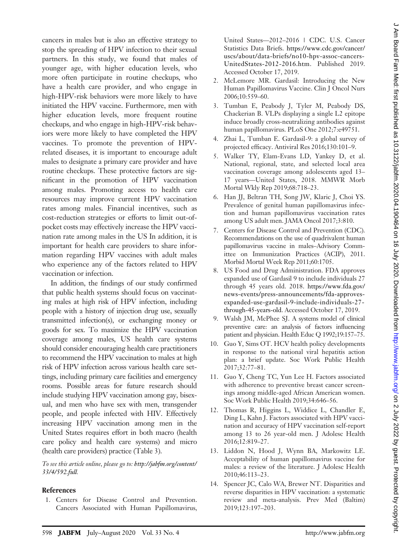cancers in males but is also an effective strategy to stop the spreading of HPV infection to their sexual partners. In this study, we found that males of younger age, with higher education levels, who more often participate in routine checkups, who have a health care provider, and who engage in high-HPV-risk behaviors were more likely to have initiated the HPV vaccine. Furthermore, men with higher education levels, more frequent routine checkups, and who engage in high-HPV-risk behaviors were more likely to have completed the HPV vaccines. To promote the prevention of HPVrelated diseases, it is important to encourage adult males to designate a primary care provider and have routine checkups. These protective factors are significant in the promotion of HPV vaccination among males. Promoting access to health care resources may improve current HPV vaccination rates among males. Financial incentives, such as cost-reduction strategies or efforts to limit out-ofpocket costs may effectively increase the HPV vaccination rate among males in the US In addition, it is important for health care providers to share information regarding HPV vaccines with adult males who experience any of the factors related to HPV vaccination or infection.

In addition, the findings of our study confirmed that public health systems should focus on vaccinating males at high risk of HPV infection, including people with a history of injection drug use, sexually transmitted infection(s), or exchanging money or goods for sex. To maximize the HPV vaccination coverage among males, US health care systems should consider encouraging health care practitioners to recommend the HPV vaccination to males at high risk of HPV infection across various health care settings, including primary care facilities and emergency rooms. Possible areas for future research should include studying HPV vaccination among gay, bisexual, and men who have sex with men, transgender people, and people infected with HIV. Effectively increasing HPV vaccination among men in the United States requires effort in both macro (health care policy and health care systems) and micro (health care providers) practice (Table 3).

To see this article online, please go to: [http://jabfm.org/content/](http://jabfm.org/content/33/4/592.full) [33/4/592.full](http://jabfm.org/content/33/4/592.full).

### References

1. Centers for Disease Control and Prevention. Cancers Associated with Human Papillomavirus, United States—2012–2016 | CDC. U.S. Cancer Statistics Data Briefs. [https://www.cdc.gov/cancer/](https://www.cdc.gov/cancer/uscs/about/data-briefs/no10-hpv-assoc-cancers-UnitedStates-2012-2016.htm) [uscs/about/data-briefs/no10-hpv-assoc-cancers-](https://www.cdc.gov/cancer/uscs/about/data-briefs/no10-hpv-assoc-cancers-UnitedStates-2012-2016.htm)[UnitedStates-2012-2016.htm.](https://www.cdc.gov/cancer/uscs/about/data-briefs/no10-hpv-assoc-cancers-UnitedStates-2012-2016.htm) Published 2019. Accessed October 17, 2019.

- 2. McLemore MR. Gardasil: Introducing the New Human Papillomavirus Vaccine. Clin J Oncol Nurs 2006;10:559–60.
- 3. Tumban E, Peabody J, Tyler M, Peabody DS, Chackerian B. VLPs displaying a single L2 epitope induce broadly cross-neutralizing antibodies against human papillomavirus. PLoS One 2012;7:e49751.
- 4. Zhai L, Tumban E. Gardasil-9: a global survey of projected efficacy. Antiviral Res 2016;130:101–9.
- 5. Walker TY, Elam-Evans LD, Yankey D, et al. National, regional, state, and selected local area vaccination coverage among adolescents aged 13– 17 years—United States, 2018. MMWR Morb Mortal Wkly Rep 2019;68:718–23.
- 6. Han JJ, Beltran TH, Song JW, Klaric J, Choi YS. Prevalence of genital human papillomavirus infection and human papillomavirus vaccination rates among US adult men. JAMA Oncol 2017;3:810.
- 7. Centers for Disease Control and Prevention (CDC). Recommendations on the use of quadrivalent human papillomavirus vaccine in males–Advisory Committee on Immunization Practices (ACIP), 2011. Morbid Mortal Week Rep 2011;60:1705.
- 8. US Food and Drug Administration. FDA approves expanded use of Gardasil 9 to include individuals 27 through 45 years old. 2018. [https://www.fda.gov/](https://www.fda.gov/news-events/press-announcements/fda-approves-expanded-use-gardasil-9-include-individuals-27-through-45-years-old) [news-events/press-announcements/fda-approves](https://www.fda.gov/news-events/press-announcements/fda-approves-expanded-use-gardasil-9-include-individuals-27-through-45-years-old)[expanded-use-gardasil-9-include-individuals-27](https://www.fda.gov/news-events/press-announcements/fda-approves-expanded-use-gardasil-9-include-individuals-27-through-45-years-old) [through-45-years-old](https://www.fda.gov/news-events/press-announcements/fda-approves-expanded-use-gardasil-9-include-individuals-27-through-45-years-old). Accessed October 17, 2019.
- 9. Walsh JM, McPhee SJ. A systems model of clinical preventive care: an analysis of factors influencing patient and physician. Health Educ Q 1992;19:157–75.
- 10. Guo Y, Sims OT. HCV health policy developments in response to the national viral hepatitis action plan: a brief update. Soc Work Public Health 2017;32:77–81.
- 11. Guo Y, Cheng TC, Yun Lee H. Factors associated with adherence to preventive breast cancer screenings among middle-aged African American women. Soc Work Public Health 2019;34:646–56.
- 12. Thomas R, Higgins L, Widdice L, Chandler E, Ding L, Kahn J. Factors associated with HPV vaccination and accuracy of HPV vaccination self-report among 13 to 26 year-old men. J Adolesc Health 2016;12:819–27.
- 13. Liddon N, Hood J, Wynn BA, Markowitz LE. Acceptability of human papillomavirus vaccine for males: a review of the literature. J Adolesc Health 2010;46:113–23.
- 14. Spencer JC, Calo WA, Brewer NT. Disparities and reverse disparities in HPV vaccination: a systematic review and meta-analysis. Prev Med (Baltim) 2019;123:197–203.